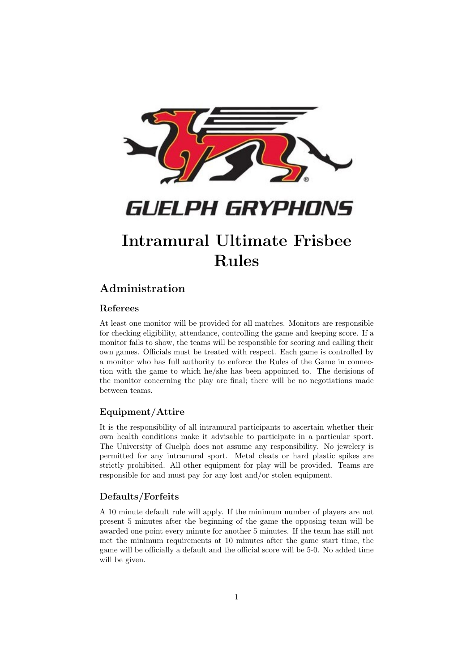

# Intramural Ultimate Frisbee Rules

# Administration

## Referees

At least one monitor will be provided for all matches. Monitors are responsible for checking eligibility, attendance, controlling the game and keeping score. If a monitor fails to show, the teams will be responsible for scoring and calling their own games. Officials must be treated with respect. Each game is controlled by a monitor who has full authority to enforce the Rules of the Game in connection with the game to which he/she has been appointed to. The decisions of the monitor concerning the play are final; there will be no negotiations made between teams.

## Equipment/Attire

It is the responsibility of all intramural participants to ascertain whether their own health conditions make it advisable to participate in a particular sport. The University of Guelph does not assume any responsibility. No jewelery is permitted for any intramural sport. Metal cleats or hard plastic spikes are strictly prohibited. All other equipment for play will be provided. Teams are responsible for and must pay for any lost and/or stolen equipment.

## Defaults/Forfeits

A 10 minute default rule will apply. If the minimum number of players are not present 5 minutes after the beginning of the game the opposing team will be awarded one point every minute for another 5 minutes. If the team has still not met the minimum requirements at 10 minutes after the game start time, the game will be officially a default and the official score will be 5-0. No added time will be given.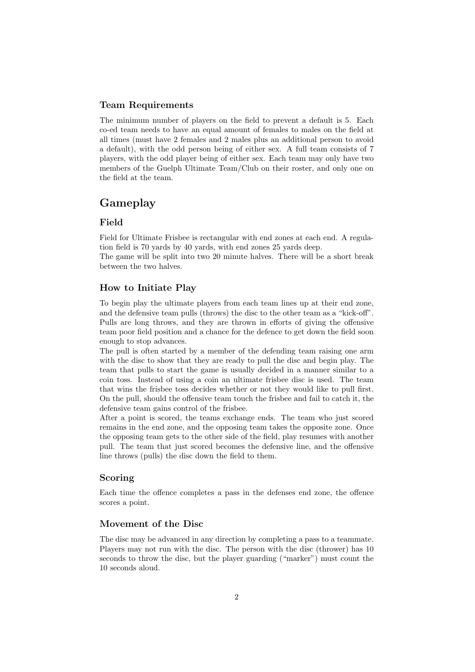#### Team Requirements

The minimum number of players on the field to prevent a default is 5. Each co-ed team needs to have an equal amount of females to males on the field at all times (must have 2 females and 2 males plus an additional person to avoid a default), with the odd person being of either sex. A full team consists of 7 players, with the odd player being of either sex. Each team may only have two members of the Guelph Ultimate Team/Club on their roster, and only one on the field at the team.

# Gameplay

#### Field

Field for Ultimate Frisbee is rectangular with end zones at each end. A regulation field is 70 yards by 40 yards, with end zones 25 yards deep.

The game will be split into two 20 minute halves. There will be a short break between the two halves.

#### How to Initiate Play

To begin play the ultimate players from each team lines up at their end zone, and the defensive team pulls (throws) the disc to the other team as a "kick-off". Pulls are long throws, and they are thrown in efforts of giving the offensive team poor field position and a chance for the defence to get down the field soon enough to stop advances.

The pull is often started by a member of the defending team raising one arm with the disc to show that they are ready to pull the disc and begin play. The team that pulls to start the game is usually decided in a manner similar to a coin toss. Instead of using a coin an ultimate frisbee disc is used. The team that wins the frisbee toss decides whether or not they would like to pull first. On the pull, should the offensive team touch the frisbee and fail to catch it, the defensive team gains control of the frisbee.

After a point is scored, the teams exchange ends. The team who just scored remains in the end zone, and the opposing team takes the opposite zone. Once the opposing team gets to the other side of the field, play resumes with another pull. The team that just scored becomes the defensive line, and the offensive line throws (pulls) the disc down the field to them.

#### Scoring

Each time the offence completes a pass in the defenses end zone, the offence scores a point.

#### Movement of the Disc

The disc may be advanced in any direction by completing a pass to a teammate. Players may not run with the disc. The person with the disc (thrower) has 10 seconds to throw the disc, but the player guarding ("marker") must count the 10 seconds aloud.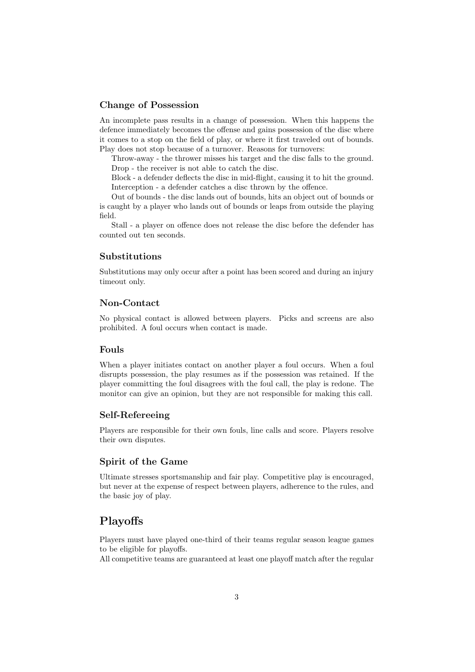#### Change of Possession

An incomplete pass results in a change of possession. When this happens the defence immediately becomes the offense and gains possession of the disc where it comes to a stop on the field of play, or where it first traveled out of bounds. Play does not stop because of a turnover. Reasons for turnovers:

Throw-away - the thrower misses his target and the disc falls to the ground. Drop - the receiver is not able to catch the disc.

Block - a defender deflects the disc in mid-flight, causing it to hit the ground. Interception - a defender catches a disc thrown by the offence.

Out of bounds - the disc lands out of bounds, hits an object out of bounds or is caught by a player who lands out of bounds or leaps from outside the playing field.

Stall - a player on offence does not release the disc before the defender has counted out ten seconds.

### Substitutions

Substitutions may only occur after a point has been scored and during an injury timeout only.

#### Non-Contact

No physical contact is allowed between players. Picks and screens are also prohibited. A foul occurs when contact is made.

#### Fouls

When a player initiates contact on another player a foul occurs. When a foul disrupts possession, the play resumes as if the possession was retained. If the player committing the foul disagrees with the foul call, the play is redone. The monitor can give an opinion, but they are not responsible for making this call.

#### Self-Refereeing

Players are responsible for their own fouls, line calls and score. Players resolve their own disputes.

#### Spirit of the Game

Ultimate stresses sportsmanship and fair play. Competitive play is encouraged, but never at the expense of respect between players, adherence to the rules, and the basic joy of play.

# Playoffs

Players must have played one-third of their teams regular season league games to be eligible for playoffs.

All competitive teams are guaranteed at least one playoff match after the regular